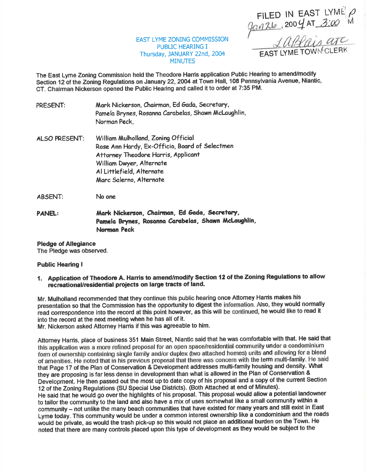FILED IN EAST LYME  $2004$  AT  $300$  $\rho$ tvl

EAST LYME TOWN CLERK

EAST LYME ZONING COMMISSION PUBLIC HEARING I Thursday, JANUARY 22nd, 20M **MINUTES** 

The East Lyme Zoning Commission held the Theodore Hams application Public Hearing to amend/modify Section 12 of the Zoning Regulations on January 22, 2004 at Town Hall, 108 Pennsylvania Avenue, Niantic, CT. Chairman Nickerson opened the Public Hearing and called it to order at 7:35 PM.

- PRESENT: Mark Nickerson, Chairman, Ed Gada, Secretary, Pamela Brynes, Rosanna Carabelas, Shawn McLaughlin, Normon Peck,
- ALSO PRESENT: William Mulholland, Zoning Official Rose Ann Hardy, Ex-Officio, Board of Selectmen Attorney Theodore Harris, Applicant William Dwyer, Alternate Al Littlefield, Alternote Marc Salerno, Alternate
- ABsENT: No one
- PANEL: Mark Nickerson, Chairman, Ed Gada, Secretary, Pamela Brynes, Rosanna Carabelas, Shawn McLaughlin, Norman Peck

# Pledge of Allegiance

The Pledge was observed.

#### Public Hearing I

1. Application of Theodore A. Harris to amend/modify Section 12 of the Zoning Regulations to allow recreational/residential projects on large tracts of land.

Mr. Mulholland recommended that they continue this public hearing once Attomey Harris makes his presentation so that the Commission has the opportunity to digest the information. Also, they would normally read conespondence into the record at this point however, as this will be continued, he would like to read it into the record at the next meeting when he has all of it.

Mr. Nickerson asked Attorney Harris if this was agreeable to him.

Attomey Haris, place of business 351 Main Street, Niantic said that he was comfortable with that. He said that this application was a more refined proposal for an open space/residential community under a condominium form of ownership containing single family and/or duplex (two attached homes) units and allowing for a blend of amenities. He noted that in his previous proposal that there was concern with the term multi-family. He said that Page 17 of the Plan of Conservation & Development addresses multi-family housing and density. What they are proposing is far less dense in development than what is allowed in the Plan of Conservation & Development. He then passed out the most up to date copy of his proposal and a copy of the current Section 12 of the Zoning Regulations (SU Special Use Dislricts). (Both Attached at end of Minutes). He said that he would go over the highlights of his proposal. This proposal would allow a potential landowner to tailor the community to the land and also have a mix of uses somewhat like a small community within <sup>a</sup> community - not unlike the many beach communities that have existed for many years and still exist in East Lyme today. This community would be under a common interest ownership like a condominium and the roads would be private, as would the trash pick-up so this would not place an additional burden on the Town. He noted that there are many controls placed upon this type of development as they would be subject to the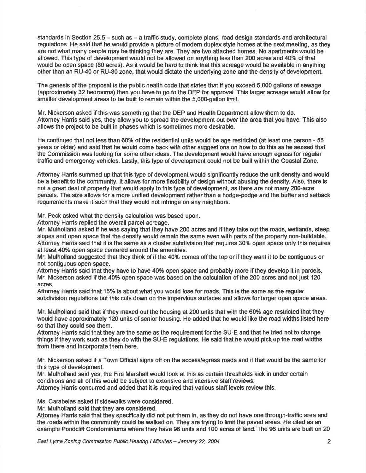standards in Section 25.5 - such as - a traffic study, complete plans, road design standards and architectural regulations. He said that he would provide a picture of modem duplex style homes at the next meeting, as they are not what many people may be thinking they are. They are two attached homes. No apartments would be allowed. This type of development would not be allowed on anything less than 200 acres and 4006 of that would be open space (80 acres). As it would be hard to think that this acreage would be available in anything other than an RU-40 or RU-80 zone, that would dictate the underlying zone and the density of development.

The genesis of the proposal is the public health code that states that if you exceed 5,000 gallons of sewage (approximately 32 bedrooms) then you have to go to the DEP for approval. This larger acreage would allow for smaller development areas to be built to remain within the 5,000-gallon limit.

Mr. Nickerson asked if this was something that the DEP and Health Department allow them to do. Attomey Hanis said yes, they allow you to spread the development out overthe area that you have. This also allows the project to be built in phases which is sometimes more desirable.

He continued that not less than 60% of the residential units would be age restricted (at least one person - 55 years or older) and said that he would come back with other suggestions on how to do this as he sensed that the Commission was looking for some other ideas. The development would have enough egress for regular traffic and emergency vehicles. Lastly, this type of development could not be built within the Coastal Zone.

Attomey Hanis summed up that this type of development would significantly reduce the unit density and would be a benefit to the community. lt allows for more flexibility of design without abusing the density. Also, there is not a great deal of property that would apply to this type of development, as there are not many 200-acre parcels. The size allows for a more unified development rather than a hodge-podge and the buffer and setback requirements make it such that they would not infringe on any neighbors.

Mr. Peck asked what the density calculation was based upon.

Attorney Harris replied the overall parcel acreage.

Mr. Mulholland asked if he was saying that they have 200 acres and if they take out the roads, wetlands, steep slopes and open space that the density would remain the same even with parts of the property non-buildable. Attorney Harris said that it is the same as a cluster subdivision that requires 30% open space only this requires at least 40% open space centered around the amenities.

Mr. Mulholland suggested that they think of if the 40% comes off the top or if they want it to be contiguous or not contiguous open space.

Attomey Hamis said that they have to have 40% open space and probably more if they develop it in parcels. Mr. Nickerson asked if the 40% open space was based on the calculation of the 200 acres and not just 120 acres.

Attorney Harris said that 15% is about what you would lose for roads. This is the same as the regular subdivision regulations but this cuts down on the impervious surfaces and allows for larger open space areas.

Mr. Mulholland said that if they maxed out the housing at 200 units that with the 60% age restricted that they would have approximately 120 units of senior housing. He added that he would like the road widths listed here so that they could see them.

Attomey Hanis said that they are the same as the requirement forthe SU-E and that he tried not to change things if they work such as they do with the SU-E regulations. He said that he would pick up the road widths from there and incorporate them here.

Mr. Nickerson asked if a Town Official signs off on the access/egress roads and if that would be the same for this type of development.

Mr. Mulholland said yes, the Fire Marshall would look at this as certain thresholds kick in under certain conditions and all of this would be subject to extensive and intensive staff reviews.

Attomey Hanis concuned and added that it is required that various staff levels review this.

Ms. Carabelas asked if sidewalks were considered.

Mr. Mulholland said that they are considered.

Attomey Hanis said that they specifically did not put them in, as they do not have one through-traffic area and the roads within the community could be walked on. They are trying to limit the paved areas. He cited as an example Pondcliff Condominiums where they have 96 units and 100 acres of land. The g6 units are built on 20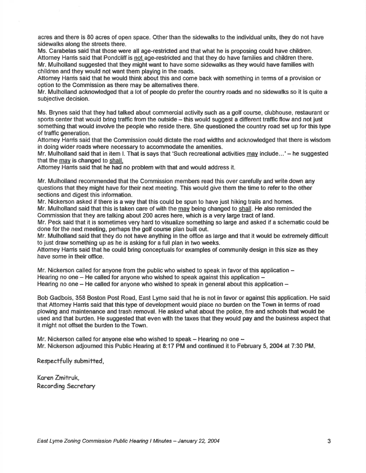acres and there is 80 acres of open space. Other than the sidewalks to the individual units, they do not have sidewalks along the streets there.

Ms. Carabelas said that those were all age-restrided and that what he is proposing could have children. Aftomey Hanis said that Pondcliff is not age-restricted and that they do have families and children there. Mr. Mulholland suggested that they might want to have some sidewalks as they would have families with children and they would not want them playing in the roads.

Attomey Hanis said that he would think about this and come back with something in terms of a provision or option to the Commission as there may be altematives there.

Mr. Mulholland acknowledged that a lot of people do preferthe country roads and no sidewalks so it is quite a subjective decision.

Ms. Brynes said that they had talked about commercial activity such as a golf course, clubhouse, restaurant or sports center that would bring traffic from the outside  $-$  this would suggest a different traffic flow and not just something that would involve the people who reside there. She questioned the country road set up forthis type of traffic generation.

Attomey Harris said that the Commission could dictate the road widths and acknowledged that there is wisdom in doing wider roads where necessary to accommodate the amenities.

Mr. Mulholland said that in item I. That is says that 'Such recreational activities may include...' – he suggested that the mav is changed to shall.

Attomey Hanis said that he had no problem with that and would address it.

Mr. Mulholland recommended that the Commission members read this over carefully and write down any questions that they might have fortheir next meeting. This would give them the time to referto the other sections and digest this information.

Mr. Nickerson asked if there is a way that this could be spun to have just hiking trails and homes. Mr. Mulholland said that this is taken care of with the mav being changed to shall. He also reminded the Commission that they are talking about 200 acres here, which is a very large tract of land.

Mr. Peck said that it is sometimes very hard to visualize something so large and asked if a schematic could be done forthe next meeting, perhaps the golf course plan built out.

Mr. Mulholland said that they do not have anything in the office as large and that it would be extremely difficult to just draw something up as he is asking for a full plan in two weeks.

Attomey Hanis said that he could bring conceptuals for examples of community design in this size as they have some in their office.

Mr. Nickerson called for anyone from the public who wished to speak in favor of this application  $-$ Hearing no one  $-$  He called for anyone who wished to speak against this application  $-$ Hearing no one  $-$  He called for anyone who wished to speak in general about this application  $-$ 

Bob Gadbois, 358 Boston Post Road, East Lyme said that he is not in favor or against this application. He said that Aftomey Hanis said that this type of development would place no burden on the Town in terms of road plowing and maintenance and trash removal. He asked what about the police, fire and schools that would be used and that burden. He suggested that even with the taxes that they would pay and the business aspect that it might not offset the burden to the Town.

Mr. Nickerson called for anyone else who wished to speak  $-$  Hearing no one  $-$ Mr. Nickerson adjourned this Public Hearing at 8:17 PM and continued it to February 5, 2004 at 7:30 PM.

Respectfully submitted,

Koren Zmifruk. Recording Secretary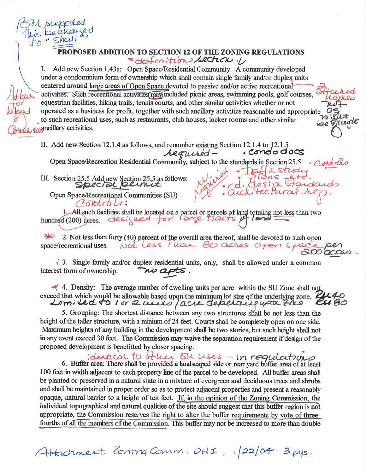

## PROPOSED ADDITION TO SECTION 12 OF THE ZONING REGULATIONS \* definition section V

Add new Section 1.43a: Open Space/Residential Community. A community developed Ι. under a condominium form of ownership which shall contain single family and/or duplex units centered around large areas of Open Space devoted to passive and/or active recreational activities. Such recreational activities may included picnic areas, swimming pools, golf courses, equestrian facilities, hiking trails, tennis courts, and other similar activities whether or not operated as a business for profit, together with such ancillary activities reasonable and appropriate to such recreational uses, such as restaurants, club houses, locker rooms and other similar *<u></u>*<sub>*ancillary* activities.</sub>

II. Add new Section 12.1.4 as follows, and renumber existing Section 12.1.4 to 12.1.5 . condo docs

Open Space/Recreation Residential Community, subject to the standards in Section 25.5

III. Section 25.5 Add new Section 25.5 as follows: Special pernit Open Space/Recreational Communities (SU)

 $CotroU$ .

1. All such facilities shall be located on a parcel or parcels of land totaling not less than two hundred (200) acres.  $\frac{des}{sue}$   $\frac{des}{sue}$ 

 $\rightarrow$ 2. Not less than forty (40) percent of the overall area thereof, shall be devoted to such open Not less lieur 80 acres open space space/recreational uses.

 $\sqrt{3}$ . Single family and/or duplex residential units, only, shall be allowed under a common interest form of ownership. w apts.

 $\blacktriangleleft$  4. Density: The average number of dwelling units per acre within the SU Zone shall not exceed that which would be allowable based upon the minimum lot size of the underlying zone.<br>Limited to 1 or 2 used / acre depending upon Zho KU B0

5. Grouping: The shortest distance between any two structures shall be not less than the height of the taller structure, with a minium of 24 feet. Courts shall be completely open on one side. Maximum heights of any building in the development shall be two stories, but such height shall not in any event exceed 30 feet. The Commission may waive the separation requirement if design of the proposed development is benefitted by closer spacing.

identical to other sur uses - in requirements. 100 feet in width adjacent to each property line of the parcel to be developed. All buffer areas shall be planted or preserved in a natural state in a mixture of evergreen and deciduous trees and shrubs and shall be maintained in proper order so as to protect adjacent properties and present a reasonably opaque, natural barrier to a height of ten feet. If, in the opinion of the Zoning Commission, the individual topographical and natural qualities of the site should suggest that this buffer region is not appropriate, the Commission reserves the right to alter the buffer requirements by vote of threefourths of all the members of the Commission. This buffer may not be increased to more than double

Attachment Zoning Comm. OHI, 1/22/04 3 pgs.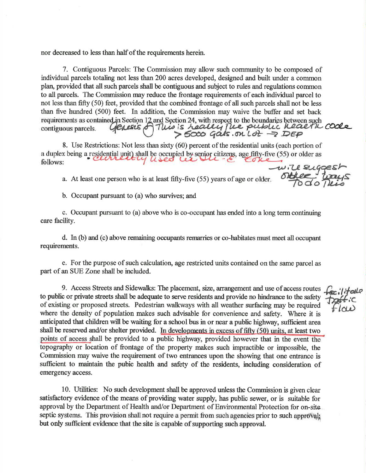nor decreased to less than half of the requirements herein.

7. Contiguous Parcels: The Commission may allow such community to be composed of individual parcels totaling not less than 200 acres developed, designed and built under a common plarl provided that all such parcels shall be contiguous and subject to rules and regulations common to all parcels. The Commission rnay reduce the frontage requirements of each individual parcel to not less than fifty (50) feet, provided that the combined frontage of all such parcels shall not be less than five hundred (500) feet. In addition, the Commission may waive the buffer and set back requirements as contained in Section 12 and Section 24, with respect to the boundaries between such<br>contiguous parcels. Generic of This is health place public health code

8. Use Restrictions: Not less than sixty (60) percent of the residential units (each portion of a duplex being a residential unit) shall be occupied by senior citizens, age fifty-five (55) or older as<br>follows:  $w$ . The suig

a. At least one person who is at least fifty-five (55) years of age or older. older.  $\overline{O}$ **bellez**  $\overline{O}$ 

b. Occupant pursuant to (a) who survives; and

c. Occupant pursuant to (a) above who is co-occupant has ended into a long term continuing care facility.

d. In  $(b)$  and  $(c)$  above remaining occupants remarries or co-habitates must meet all occupant requirements.

e. For the purpose of such calculation, age restricted units contained on the same parcel as part of an SIIE Zone shall be included.

9. Access Streets and Sidewalks: The placement, size, arrangement and use of access routes  $\mathcal{L}$ to public or private streets shall be adequate to serve residents and provide no hindrance to the safety of existing or proposed streets. Pedestrian walkways with atl weather surfacing may be required where the density of population makes such advisable for convenience and safety. Where it is anticipated that children will be waiting for a school bus in or near a public highway, sufficient area shall be reserved and/or shelter provided. In developments in excess of fifty (50) units, at least two points of access shall be provided to a public highway, provided however that in the event topography or location of frontage of the property makes such impractible or impossible, the Commission may waive the requirement of two entrances upon the showing that one entrance is sufficient to maintain the pubic health and safety of the residents, including consideration of emergency access.

10. Utilities: No such development shall be approved unless the Commission is given clear satisfactory evidence of the means of providing water supply, has public sewer, or is suitable for approval by the Department of Health and/or Department of Environmental Protection for on-site septic systems. This provision shall not require a permit from such agencies prior to such approval; but only sufficient evidence that the site is capable of supporting such approval.

fecilitate<br>Toffic<br>"Flow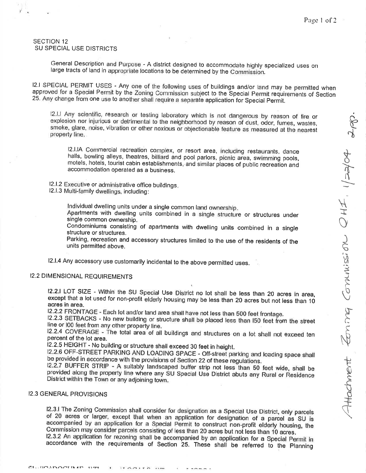#### SECTION 12 SU SPECIAL USE DISTRICTS

li

General Description and Purpose - A district designed to accommodate highly specialized uses on large tracts of land in appropriate locations to be determined by the Commission.

12.I SPECIAL PERMIT USES - Any one of the following uses of buildings and/or land may be permitted when approved for a Special Permit by the Zoning Commission subject to the Special Permit requirements of Section<br>25. Any change from one use to another shall require a separate application for Special Permit.

I2.I.I Any scientific, research or testing laboratory which is not dangerous by reason of fire or explosion nor injurious or detrimental to the neighborhood by reason of dust, odor, fumes, wastes, explosion nor injurious or detrimental to the neighborhood by reason of dust, odor, fumes, wastes,<br>smoke, glare, noise, vibration or other noxious or objectionable feature as measured at the nearest<br>property line.

12.I.IA Commercial recreation complex, or resort area, including restaurants, dance halls, bowling alleys, theatres, billiard and pool parlors, picnic area, swimming pools, motels, hotels, tourist cabin establishments, and similar places of public recreation and accommodation operated as a business.

12.1.2 Executive or administrative office buildings.

12.1.3 Multi-family dwettings, including:

lndividual dwelling units under a single common land ownership.

Apartments with dwelling units combined in a single structure or structures under single common ownership.

Condominiums consisting of apartments with dwelling units combined in a single structure or structures.

Parking, recreation and accessory structures limited to the use of the residents of the units permitted above.

12-l'4 Any accessory use customarily incidental to the above permitted uses.

#### **I2.2 DIMENSIONAL REQUIREMENTS**

12.2.1 LOT SIZE - Within the SU Special Use District no lot shall be less than 20 acres in area, except that a lot used for non-profit elderly housing may be less than 20 acres but not less than 10 acres in area.<br>I2.2.2 FRONTAGE - Each lot and/or land area shall have not less than 500 feet frontage.

I2.2.3 SETBACKS - No new building or structure shall be placed less than I50 feet from the street line or I00 feet from any other property line.

12.2.4 COVERAGE - The total area of all buildings and structures on a lot shall not exceed ten percent of the lot area.

12.2.5 HEIGHT - No building or structure shall exceed 30 feet in height.

12.2.6 OFF-STREET PARKING AND LOADING SPACE - Off-street parking and loading space shall be provided in accordance with the provisions of Section 22 of these regulations.

12.2.7 BUFFER STRIP - A suitably landscaped buffer strip not less than 50 feet wide, shall be provided along the property line where any SU Special Use District abuts any Rural or Residence District within the Town or any

### 12.3 GENERAL PROVISIONS

I2.3.I The Zoning Commission shall consider for designation as a Special Use District, only parcels<br>of 20 acres or larger, except that when an application for designation of a parcel as SU is Commission may consider parcels consisting of less than 20 acres but not less than 10 acres. accompanied by an application for a Special Permit to construct non-profit elderly housing, the<br>Commission may consider parcels consisting of less than 20 acres but not less than 10 acres.

12.3.2 An application for rezoning shall be accompanied by an application for a Special Permit in accordance with the requirements of Section 25. These shall be referred to the Planning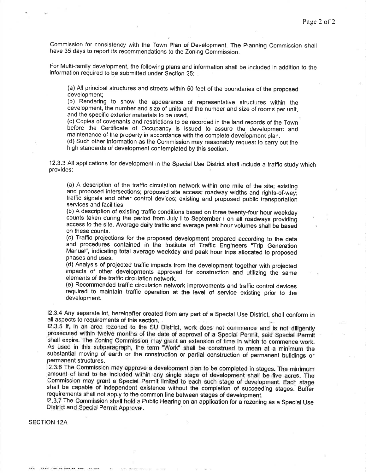Commission for consistency with the Town Plan of Development. The Planning Commission shall have 35 days to report its recommendations to the Zoning Commission.

For Multi-family development, the following plans and information shall be included in addition to the information required to be submitted under Section 2S:

(a) All principal structures and streets within 50 feet of the boundaries of the proposed development;

(b) Rendering to show the appearance of representative structures within the development, the number and size of units and the number and size of rooms per unit, and the specific exterior materials to be used.

(c) Copies of covenants and restrictions to be recorded in the land records of the Town before the Certificate of Occupancy is issued to assure the development and maintenance of the property in accordance with the complete deveiopment plan.

(d) Such other information as the Commission may reasonably request to carry out the high standards of development contemplated by this section.

12.3.3 All applications for development in the Special Use District shall include a traffic studywhich provides:

(a) A description of the traffic circulation network within one mile of the site; existing and proposed intersections; proposed site access; roadway widths and rights-of-way; traffic signals and other control devices; existing and proposed public transportation services and facilities.

(b) A description of existing traffic conditions based on three. twenty-four hour weekday counts taken during the period from July I to September I on all roadways providing access to the site. Average daily traffic and average peak hour volumes shall be based on these counts.

(c) Traffic projections for the proposed development prepared according to the data and procedures contained in the Institute of Traffic Engineers "Trip Generation Manual", indicating total average weekday and peak hour trips allocated to proposed phases and uses.

(d) Analysis of projected traffic impacts from the development together with projected impacts of other developments approved for construction and utilizing the same elements of the traffic circulation network.

(e) Recommended traffic circulation network improvements and traffic control devices required to maintain traffic operation at the level of service existing prior to the development.

12-3.4 Any separate lot, hereinafter created from any part of a Special Use District, shall conform in all aspects to requirements of this section.

12.3.5 lf, in an area rezoned to the SU District, work does not commence and is not diligently prosecuted within twelve months of the date of approval of a Special Permit, said Special Permit shall expire. The Zoning Commi As used in this subparagraph, the term "Work" shall be construed to mean at a minimum the substantial moving of earth or the construction or partial construction of permanent buildings or permanent structures.

l2'3.6 The Commission may approve a development plan to be completed in stages. The minimum amount of land to be included within any single stage of development shall be five acres. The Commission may grant a Special Permit limited to each such stage of development. Each stage shall be capable of independent existence without the completion of succeeding stages. Buffer requirements shall not apply to the common line between stages of development.

12.3.7 The Commission shall hold a Public Hearing on an application for a rezoning as a Special Use District and Special Permit Approval.

SECTION 12A